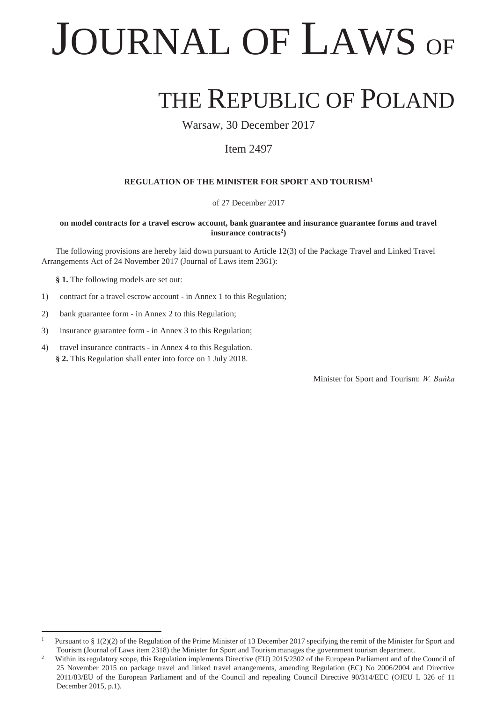# JOURNAL OF LAWS OF

## THE REPUBLIC OF POLAND

Warsaw, 30 December 2017

### Item 2497

#### **REGULATION OF THE MINISTER FOR SPORT AND TOURISM<sup>1</sup>**

#### of 27 December 2017

#### **on model contracts for a travel escrow account, bank guarantee and insurance guarantee forms and travel insurance contracts<sup>2</sup> )**

The following provisions are hereby laid down pursuant to Article 12(3) of the Package Travel and Linked Travel Arrangements Act of 24 November 2017 (Journal of Laws item 2361):

**§ 1.** The following models are set out:

 $\overline{a}$ 

- 1) contract for a travel escrow account in Annex 1 to this Regulation;
- 2) bank guarantee form in Annex 2 to this Regulation;
- 3) insurance guarantee form in Annex 3 to this Regulation;
- 4) travel insurance contracts in Annex 4 to this Regulation. **§ 2.** This Regulation shall enter into force on 1 July 2018.

Minister for Sport and Tourism: *W. Bańka*

<sup>&</sup>lt;sup>1</sup> Pursuant to § 1(2)(2) of the Regulation of the Prime Minister of 13 December 2017 specifying the remit of the Minister for Sport and Tourism (Journal of Laws item 2318) the Minister for Sport and Tourism manages the government tourism department.

<sup>2</sup> Within its regulatory scope, this Regulation implements Directive (EU) 2015/2302 of the European Parliament and of the Council of 25 November 2015 on package travel and linked travel arrangements, amending Regulation (EC) No 2006/2004 and Directive 2011/83/EU of the European Parliament and of the Council and repealing Council Directive 90/314/EEC (OJEU L 326 of 11 December 2015, p.1).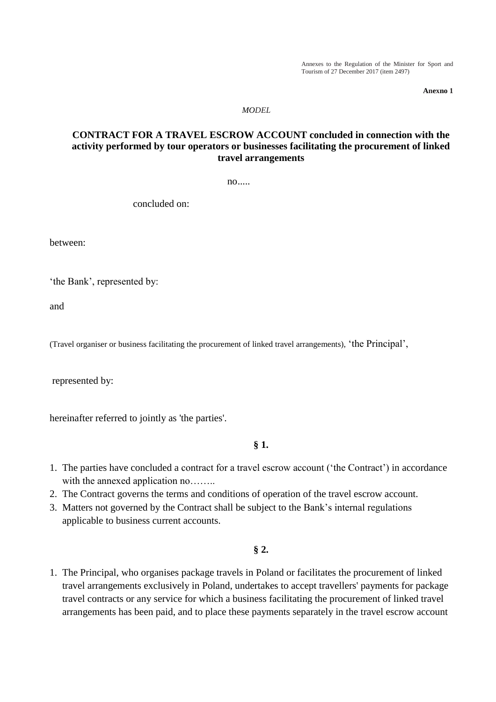Annexes to the Regulation of the Minister for Sport and Tourism of 27 December 2017 (item 2497)

**Anexno 1**

#### *MODEL*

#### **CONTRACT FOR A TRAVEL ESCROW ACCOUNT concluded in connection with the activity performed by tour operators or businesses facilitating the procurement of linked travel arrangements**

no.....

concluded on:

between:

'the Bank', represented by:

and

(Travel organiser or business facilitating the procurement of linked travel arrangements), 'the Principal',

represented by:

hereinafter referred to jointly as 'the parties'.

#### **§ 1.**

- 1. The parties have concluded a contract for a travel escrow account ('the Contract') in accordance with the annexed application no…....
- 2. The Contract governs the terms and conditions of operation of the travel escrow account.
- 3. Matters not governed by the Contract shall be subject to the Bank's internal regulations applicable to business current accounts.

**§ 2.**

1. The Principal, who organises package travels in Poland or facilitates the procurement of linked travel arrangements exclusively in Poland, undertakes to accept travellers' payments for package travel contracts or any service for which a business facilitating the procurement of linked travel arrangements has been paid, and to place these payments separately in the travel escrow account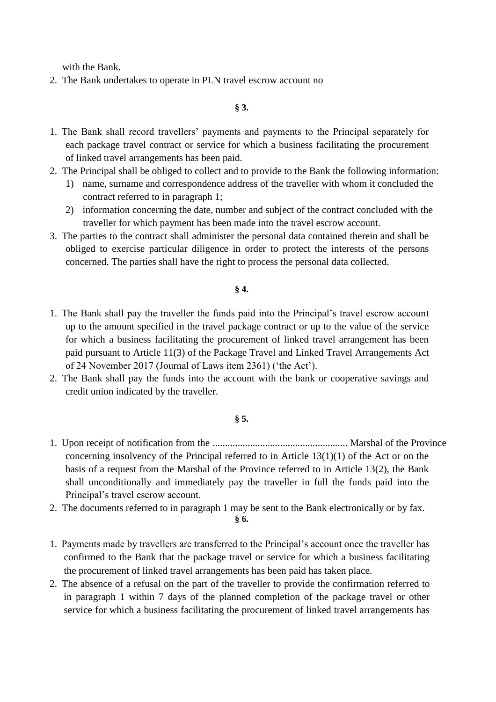with the Bank.

2. The Bank undertakes to operate in PLN travel escrow account no

#### **§ 3.**

- 1. The Bank shall record travellers' payments and payments to the Principal separately for each package travel contract or service for which a business facilitating the procurement of linked travel arrangements has been paid.
- 2. The Principal shall be obliged to collect and to provide to the Bank the following information:
	- 1) name, surname and correspondence address of the traveller with whom it concluded the contract referred to in paragraph 1;
	- 2) information concerning the date, number and subject of the contract concluded with the traveller for which payment has been made into the travel escrow account.
- 3. The parties to the contract shall administer the personal data contained therein and shall be obliged to exercise particular diligence in order to protect the interests of the persons concerned. The parties shall have the right to process the personal data collected.

#### **§ 4.**

- 1. The Bank shall pay the traveller the funds paid into the Principal's travel escrow account up to the amount specified in the travel package contract or up to the value of the service for which a business facilitating the procurement of linked travel arrangement has been paid pursuant to Article 11(3) of the Package Travel and Linked Travel Arrangements Act of 24 November 2017 (Journal of Laws item 2361) ('the Act').
- 2. The Bank shall pay the funds into the account with the bank or cooperative savings and credit union indicated by the traveller.

#### **§ 5.**

- 1. Upon receipt of notification from the ...................................................... Marshal of the Province concerning insolvency of the Principal referred to in Article 13(1)(1) of the Act or on the basis of a request from the Marshal of the Province referred to in Article 13(2), the Bank shall unconditionally and immediately pay the traveller in full the funds paid into the Principal's travel escrow account.
- 2. The documents referred to in paragraph 1 may be sent to the Bank electronically or by fax. **§ 6.**
- 1. Payments made by travellers are transferred to the Principal's account once the traveller has confirmed to the Bank that the package travel or service for which a business facilitating the procurement of linked travel arrangements has been paid has taken place.
- 2. The absence of a refusal on the part of the traveller to provide the confirmation referred to in paragraph 1 within 7 days of the planned completion of the package travel or other service for which a business facilitating the procurement of linked travel arrangements has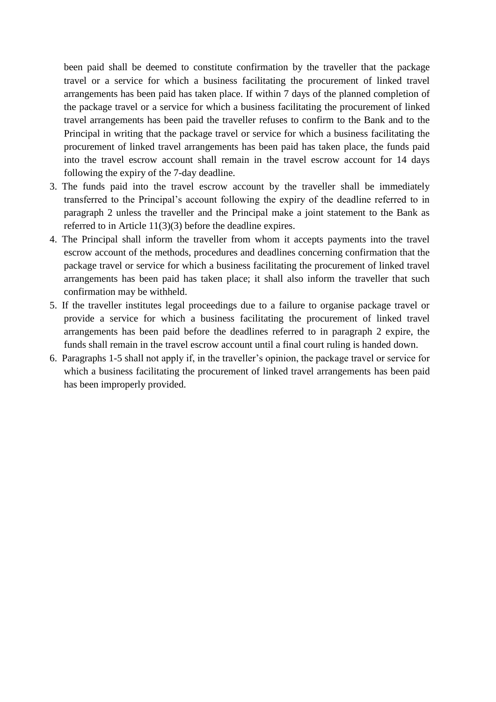been paid shall be deemed to constitute confirmation by the traveller that the package travel or a service for which a business facilitating the procurement of linked travel arrangements has been paid has taken place. If within 7 days of the planned completion of the package travel or a service for which a business facilitating the procurement of linked travel arrangements has been paid the traveller refuses to confirm to the Bank and to the Principal in writing that the package travel or service for which a business facilitating the procurement of linked travel arrangements has been paid has taken place, the funds paid into the travel escrow account shall remain in the travel escrow account for 14 days following the expiry of the 7-day deadline.

- 3. The funds paid into the travel escrow account by the traveller shall be immediately transferred to the Principal's account following the expiry of the deadline referred to in paragraph 2 unless the traveller and the Principal make a joint statement to the Bank as referred to in Article 11(3)(3) before the deadline expires.
- 4. The Principal shall inform the traveller from whom it accepts payments into the travel escrow account of the methods, procedures and deadlines concerning confirmation that the package travel or service for which a business facilitating the procurement of linked travel arrangements has been paid has taken place; it shall also inform the traveller that such confirmation may be withheld.
- 5. If the traveller institutes legal proceedings due to a failure to organise package travel or provide a service for which a business facilitating the procurement of linked travel arrangements has been paid before the deadlines referred to in paragraph 2 expire, the funds shall remain in the travel escrow account until a final court ruling is handed down.
- 6. Paragraphs 1-5 shall not apply if, in the traveller's opinion, the package travel or service for which a business facilitating the procurement of linked travel arrangements has been paid has been improperly provided.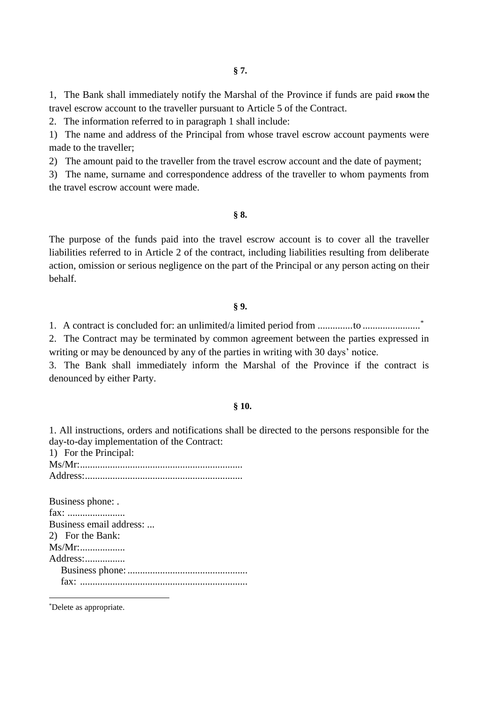1, The Bank shall immediately notify the Marshal of the Province if funds are paid **FROM** the travel escrow account to the traveller pursuant to Article 5 of the Contract.

2. The information referred to in paragraph 1 shall include:

1) The name and address of the Principal from whose travel escrow account payments were made to the traveller;

2) The amount paid to the traveller from the travel escrow account and the date of payment;

3) The name, surname and correspondence address of the traveller to whom payments from the travel escrow account were made.

#### **§ 8.**

The purpose of the funds paid into the travel escrow account is to cover all the traveller liabilities referred to in Article 2 of the contract, including liabilities resulting from deliberate action, omission or serious negligence on the part of the Principal or any person acting on their behalf.

#### **§ 9.**

1. A contract is concluded for: an unlimited/a limited period from ..............to ....................... \*

2. The Contract may be terminated by common agreement between the parties expressed in writing or may be denounced by any of the parties in writing with 30 days' notice.

3. The Bank shall immediately inform the Marshal of the Province if the contract is denounced by either Party.

#### **§ 10.**

1. All instructions, orders and notifications shall be directed to the persons responsible for the day-to-day implementation of the Contract:

1) For the Principal: Ms/Mr:................................................................. Address:...............................................................

Business phone: . fax: .......................... Business email address: ... 2) For the Bank: Ms/Mr:................... Address:................ Business phone: ................................................ fax: ...................................................................

 $\overline{a}$ 

<sup>\*</sup>Delete as appropriate.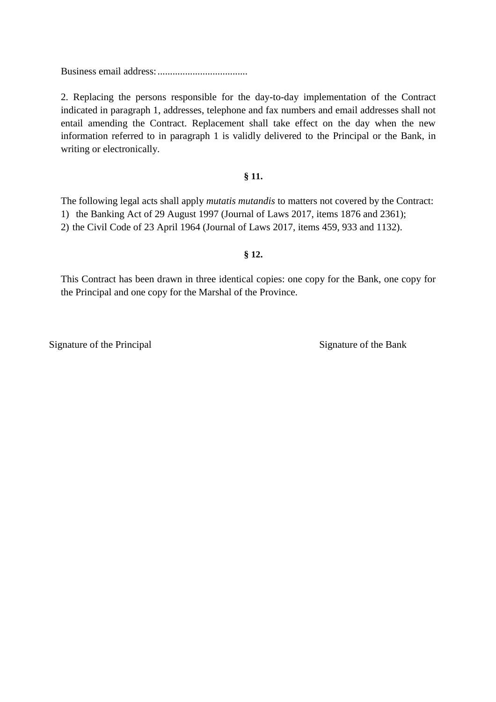Business email address:....................................

2. Replacing the persons responsible for the day-to-day implementation of the Contract indicated in paragraph 1, addresses, telephone and fax numbers and email addresses shall not entail amending the Contract. Replacement shall take effect on the day when the new information referred to in paragraph 1 is validly delivered to the Principal or the Bank, in writing or electronically.

#### **§ 11.**

The following legal acts shall apply *mutatis mutandis* to matters not covered by the Contract: 1) the Banking Act of 29 August 1997 (Journal of Laws 2017, items 1876 and 2361); 2) the Civil Code of 23 April 1964 (Journal of Laws 2017, items 459, 933 and 1132).

#### **§ 12.**

This Contract has been drawn in three identical copies: one copy for the Bank, one copy for the Principal and one copy for the Marshal of the Province.

Signature of the Principal Signature of the Bank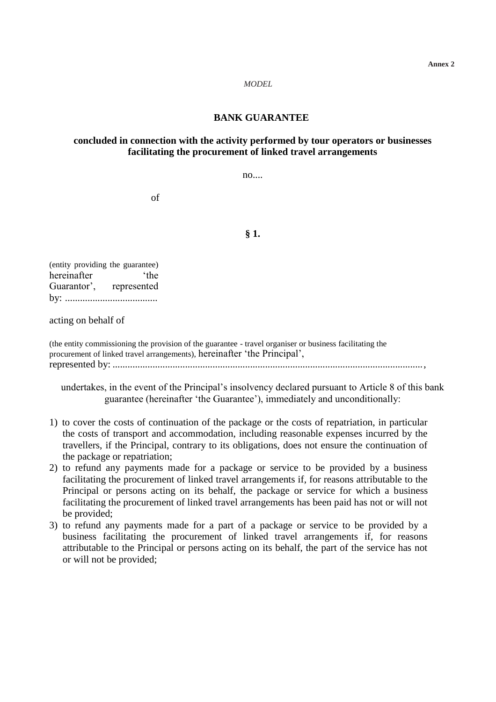*MODEL*

#### **BANK GUARANTEE**

#### **concluded in connection with the activity performed by tour operators or businesses facilitating the procurement of linked travel arrangements**

 $n_0$ ...

of

**§ 1.**

(entity providing the guarantee) hereinafter <br>
"
Guarantor', represented represented by: .....................................

acting on behalf of

(the entity commissioning the provision of the guarantee - travel organiser or business facilitating the procurement of linked travel arrangements), hereinafter 'the Principal', represented by: ............................................................................................................................,

undertakes, in the event of the Principal's insolvency declared pursuant to Article 8 of this bank guarantee (hereinafter 'the Guarantee'), immediately and unconditionally:

- 1) to cover the costs of continuation of the package or the costs of repatriation, in particular the costs of transport and accommodation, including reasonable expenses incurred by the travellers, if the Principal, contrary to its obligations, does not ensure the continuation of the package or repatriation;
- 2) to refund any payments made for a package or service to be provided by a business facilitating the procurement of linked travel arrangements if, for reasons attributable to the Principal or persons acting on its behalf, the package or service for which a business facilitating the procurement of linked travel arrangements has been paid has not or will not be provided;
- 3) to refund any payments made for a part of a package or service to be provided by a business facilitating the procurement of linked travel arrangements if, for reasons attributable to the Principal or persons acting on its behalf, the part of the service has not or will not be provided;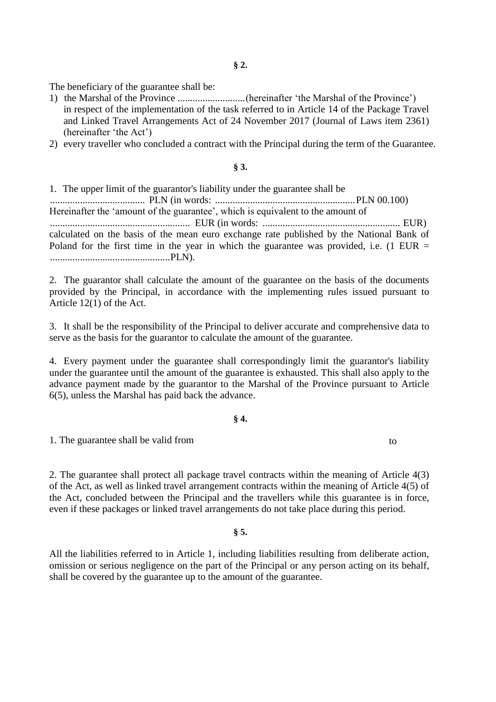The beneficiary of the guarantee shall be:

- 1) the Marshal of the Province ...........................(hereinafter 'the Marshal of the Province') in respect of the implementation of the task referred to in Article 14 of the Package Travel and Linked Travel Arrangements Act of 24 November 2017 (Journal of Laws item 2361) (hereinafter 'the Act')
- 2) every traveller who concluded a contract with the Principal during the term of the Guarantee.

#### **§ 3.**

1. The upper limit of the guarantor's liability under the guarantee shall be

...................................... PLN (in words: ........................................................PLN 00.100)

Hereinafter the 'amount of the guarantee', which is equivalent to the amount of

........................................................ EUR (in words: ....................................................... EUR) calculated on the basis of the mean euro exchange rate published by the National Bank of Poland for the first time in the year in which the guarantee was provided, i.e. (1 EUR  $=$ ................................................PLN).

2. The guarantor shall calculate the amount of the guarantee on the basis of the documents provided by the Principal, in accordance with the implementing rules issued pursuant to Article 12(1) of the Act.

3. It shall be the responsibility of the Principal to deliver accurate and comprehensive data to serve as the basis for the guarantor to calculate the amount of the guarantee.

4. Every payment under the guarantee shall correspondingly limit the guarantor's liability under the guarantee until the amount of the guarantee is exhausted. This shall also apply to the advance payment made by the guarantor to the Marshal of the Province pursuant to Article 6(5), unless the Marshal has paid back the advance.

#### **§ 4.**

1. The guarantee shall be valid from

2. The guarantee shall protect all package travel contracts within the meaning of Article 4(3) of the Act, as well as linked travel arrangement contracts within the meaning of Article 4(5) of the Act, concluded between the Principal and the travellers while this guarantee is in force, even if these packages or linked travel arrangements do not take place during this period.

**§ 5.**

All the liabilities referred to in Article 1, including liabilities resulting from deliberate action, omission or serious negligence on the part of the Principal or any person acting on its behalf, shall be covered by the guarantee up to the amount of the guarantee.

to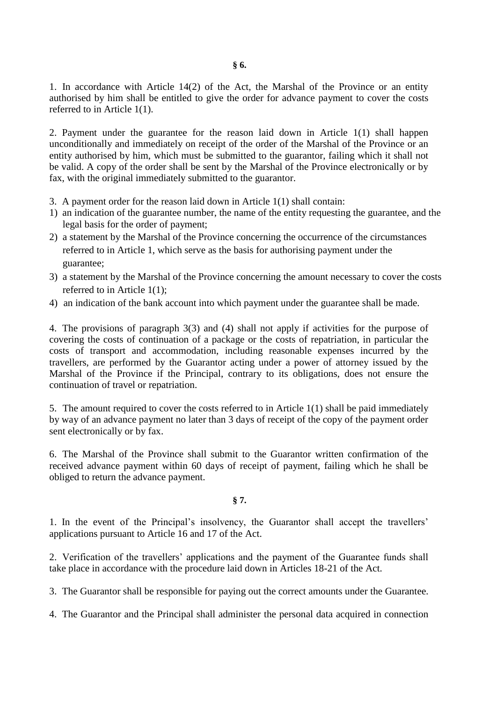1. In accordance with Article 14(2) of the Act, the Marshal of the Province or an entity authorised by him shall be entitled to give the order for advance payment to cover the costs referred to in Article 1(1).

2. Payment under the guarantee for the reason laid down in Article 1(1) shall happen unconditionally and immediately on receipt of the order of the Marshal of the Province or an entity authorised by him, which must be submitted to the guarantor, failing which it shall not be valid. A copy of the order shall be sent by the Marshal of the Province electronically or by fax, with the original immediately submitted to the guarantor.

- 3. A payment order for the reason laid down in Article 1(1) shall contain:
- 1) an indication of the guarantee number, the name of the entity requesting the guarantee, and the legal basis for the order of payment;
- 2) a statement by the Marshal of the Province concerning the occurrence of the circumstances referred to in Article 1, which serve as the basis for authorising payment under the guarantee;
- 3) a statement by the Marshal of the Province concerning the amount necessary to cover the costs referred to in Article 1(1);
- 4) an indication of the bank account into which payment under the guarantee shall be made.

4. The provisions of paragraph 3(3) and (4) shall not apply if activities for the purpose of covering the costs of continuation of a package or the costs of repatriation, in particular the costs of transport and accommodation, including reasonable expenses incurred by the travellers, are performed by the Guarantor acting under a power of attorney issued by the Marshal of the Province if the Principal, contrary to its obligations, does not ensure the continuation of travel or repatriation.

5. The amount required to cover the costs referred to in Article 1(1) shall be paid immediately by way of an advance payment no later than 3 days of receipt of the copy of the payment order sent electronically or by fax.

6. The Marshal of the Province shall submit to the Guarantor written confirmation of the received advance payment within 60 days of receipt of payment, failing which he shall be obliged to return the advance payment.

#### **§ 7.**

1. In the event of the Principal's insolvency, the Guarantor shall accept the travellers' applications pursuant to Article 16 and 17 of the Act.

2. Verification of the travellers' applications and the payment of the Guarantee funds shall take place in accordance with the procedure laid down in Articles 18-21 of the Act.

3. The Guarantor shall be responsible for paying out the correct amounts under the Guarantee.

4. The Guarantor and the Principal shall administer the personal data acquired in connection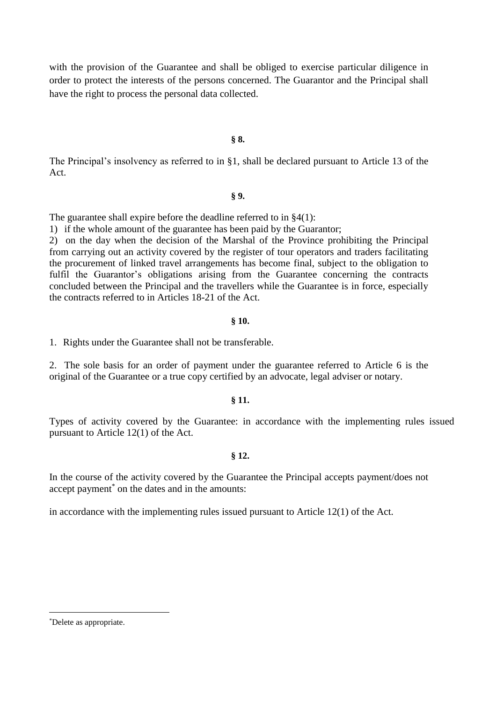with the provision of the Guarantee and shall be obliged to exercise particular diligence in order to protect the interests of the persons concerned. The Guarantor and the Principal shall have the right to process the personal data collected.

#### **§ 8.**

The Principal's insolvency as referred to in §1, shall be declared pursuant to Article 13 of the Act.

#### **§ 9.**

The guarantee shall expire before the deadline referred to in  $\S4(1)$ :

1) if the whole amount of the guarantee has been paid by the Guarantor;

2) on the day when the decision of the Marshal of the Province prohibiting the Principal from carrying out an activity covered by the register of tour operators and traders facilitating the procurement of linked travel arrangements has become final, subject to the obligation to fulfil the Guarantor's obligations arising from the Guarantee concerning the contracts concluded between the Principal and the travellers while the Guarantee is in force, especially the contracts referred to in Articles 18-21 of the Act.

#### **§ 10.**

1. Rights under the Guarantee shall not be transferable.

2. The sole basis for an order of payment under the guarantee referred to Article 6 is the original of the Guarantee or a true copy certified by an advocate, legal adviser or notary.

#### **§ 11.**

Types of activity covered by the Guarantee: in accordance with the implementing rules issued pursuant to Article 12(1) of the Act.

#### **§ 12.**

In the course of the activity covered by the Guarantee the Principal accepts payment/does not accept payment<sup>\*</sup> on the dates and in the amounts:

in accordance with the implementing rules issued pursuant to Article 12(1) of the Act.

 $\overline{a}$ 

<sup>\*</sup>Delete as appropriate.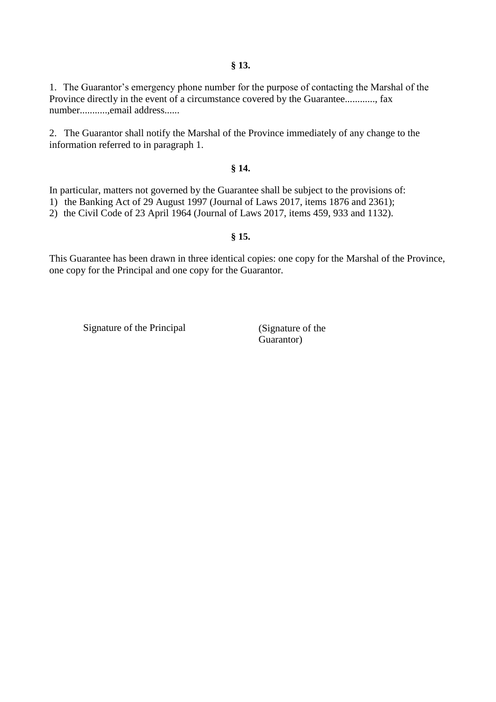1. The Guarantor's emergency phone number for the purpose of contacting the Marshal of the Province directly in the event of a circumstance covered by the Guarantee............, fax number...........,email address......

2. The Guarantor shall notify the Marshal of the Province immediately of any change to the information referred to in paragraph 1.

#### **§ 14.**

In particular, matters not governed by the Guarantee shall be subject to the provisions of: 1) the Banking Act of 29 August 1997 (Journal of Laws 2017, items 1876 and 2361); 2) the Civil Code of 23 April 1964 (Journal of Laws 2017, items 459, 933 and 1132).

#### **§ 15.**

This Guarantee has been drawn in three identical copies: one copy for the Marshal of the Province, one copy for the Principal and one copy for the Guarantor.

Signature of the Principal

(Signature of the Guarantor)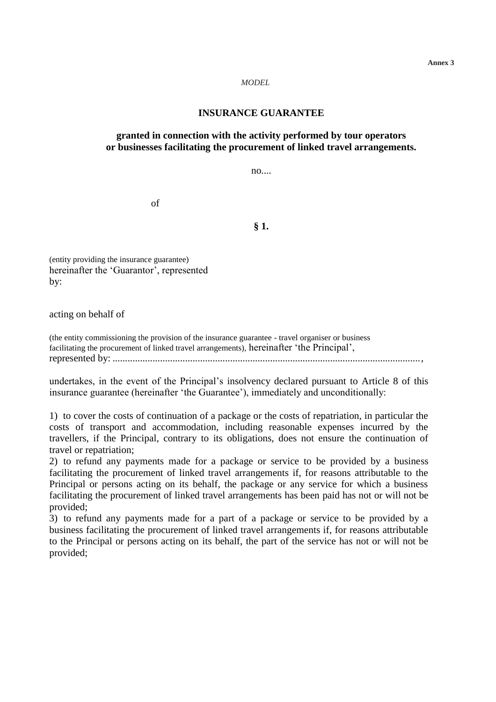*MODEL*

#### **INSURANCE GUARANTEE**

#### **granted in connection with the activity performed by tour operators or businesses facilitating the procurement of linked travel arrangements.**

 $no...$ 

of

**§ 1.**

(entity providing the insurance guarantee) hereinafter the 'Guarantor', represented by:

acting on behalf of

(the entity commissioning the provision of the insurance guarantee - travel organiser or business facilitating the procurement of linked travel arrangements), hereinafter 'the Principal', represented by: ...........................................................................................................................,

undertakes, in the event of the Principal's insolvency declared pursuant to Article 8 of this insurance guarantee (hereinafter 'the Guarantee'), immediately and unconditionally:

1) to cover the costs of continuation of a package or the costs of repatriation, in particular the costs of transport and accommodation, including reasonable expenses incurred by the travellers, if the Principal, contrary to its obligations, does not ensure the continuation of travel or repatriation;

2) to refund any payments made for a package or service to be provided by a business facilitating the procurement of linked travel arrangements if, for reasons attributable to the Principal or persons acting on its behalf, the package or any service for which a business facilitating the procurement of linked travel arrangements has been paid has not or will not be provided;

3) to refund any payments made for a part of a package or service to be provided by a business facilitating the procurement of linked travel arrangements if, for reasons attributable to the Principal or persons acting on its behalf, the part of the service has not or will not be provided;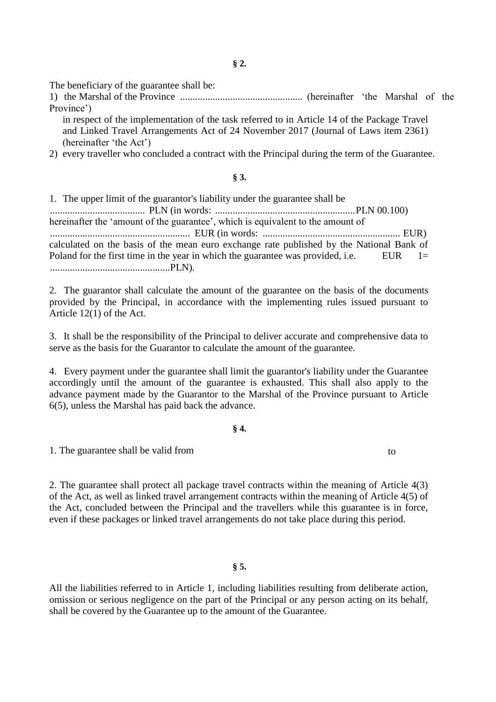The beneficiary of the guarantee shall be:

1) the Marshal of the Province ................................................. (hereinafter 'the Marshal of the Province')

in respect of the implementation of the task referred to in Article 14 of the Package Travel and Linked Travel Arrangements Act of 24 November 2017 (Journal of Laws item 2361) (hereinafter 'the Act')

2) every traveller who concluded a contract with the Principal during the term of the Guarantee.

#### **§ 3.**

1. The upper limit of the guarantor's liability under the guarantee shall be ...................................... PLN (in words: ........................................................PLN 00.100) hereinafter the 'amount of the guarantee', which is equivalent to the amount of ........................................................ EUR (in words: ....................................................... EUR) calculated on the basis of the mean euro exchange rate published by the National Bank of Poland for the first time in the year in which the guarantee was provided, i.e.  $EUR = 1 =$ ................................................PLN).

2. The guarantor shall calculate the amount of the guarantee on the basis of the documents provided by the Principal, in accordance with the implementing rules issued pursuant to Article 12(1) of the Act.

3. It shall be the responsibility of the Principal to deliver accurate and comprehensive data to serve as the basis for the Guarantor to calculate the amount of the guarantee.

4. Every payment under the guarantee shall limit the guarantor's liability under the Guarantee accordingly until the amount of the guarantee is exhausted. This shall also apply to the advance payment made by the Guarantor to the Marshal of the Province pursuant to Article 6(5), unless the Marshal has paid back the advance.

#### **§ 4.**

1. The guarantee shall be valid from

2. The guarantee shall protect all package travel contracts within the meaning of Article 4(3) of the Act, as well as linked travel arrangement contracts within the meaning of Article 4(5) of the Act, concluded between the Principal and the travellers while this guarantee is in force, even if these packages or linked travel arrangements do not take place during this period.

#### **§ 5.**

All the liabilities referred to in Article 1, including liabilities resulting from deliberate action, omission or serious negligence on the part of the Principal or any person acting on its behalf, shall be covered by the Guarantee up to the amount of the Guarantee.

to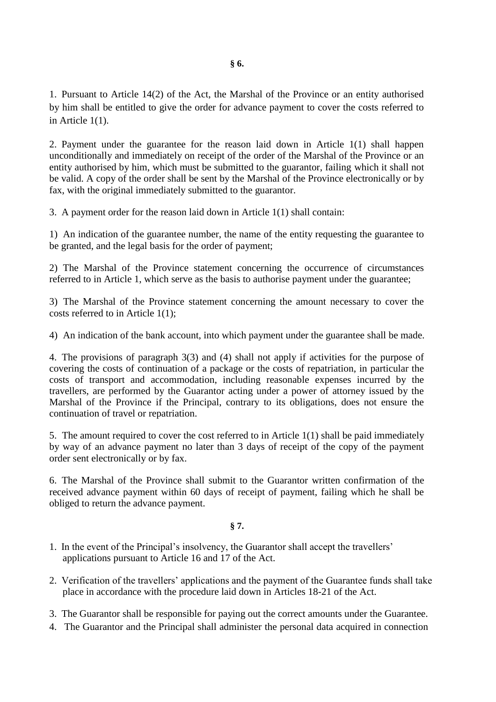1. Pursuant to Article 14(2) of the Act, the Marshal of the Province or an entity authorised by him shall be entitled to give the order for advance payment to cover the costs referred to in Article 1(1).

2. Payment under the guarantee for the reason laid down in Article 1(1) shall happen unconditionally and immediately on receipt of the order of the Marshal of the Province or an entity authorised by him, which must be submitted to the guarantor, failing which it shall not be valid. A copy of the order shall be sent by the Marshal of the Province electronically or by fax, with the original immediately submitted to the guarantor.

3. A payment order for the reason laid down in Article 1(1) shall contain:

1) An indication of the guarantee number, the name of the entity requesting the guarantee to be granted, and the legal basis for the order of payment;

2) The Marshal of the Province statement concerning the occurrence of circumstances referred to in Article 1, which serve as the basis to authorise payment under the guarantee;

3) The Marshal of the Province statement concerning the amount necessary to cover the costs referred to in Article 1(1);

4) An indication of the bank account, into which payment under the guarantee shall be made.

4. The provisions of paragraph 3(3) and (4) shall not apply if activities for the purpose of covering the costs of continuation of a package or the costs of repatriation, in particular the costs of transport and accommodation, including reasonable expenses incurred by the travellers, are performed by the Guarantor acting under a power of attorney issued by the Marshal of the Province if the Principal, contrary to its obligations, does not ensure the continuation of travel or repatriation.

5. The amount required to cover the cost referred to in Article 1(1) shall be paid immediately by way of an advance payment no later than 3 days of receipt of the copy of the payment order sent electronically or by fax.

6. The Marshal of the Province shall submit to the Guarantor written confirmation of the received advance payment within 60 days of receipt of payment, failing which he shall be obliged to return the advance payment.

**§ 7.**

- 1. In the event of the Principal's insolvency, the Guarantor shall accept the travellers' applications pursuant to Article 16 and 17 of the Act.
- 2. Verification of the travellers' applications and the payment of the Guarantee funds shall take place in accordance with the procedure laid down in Articles 18-21 of the Act.
- 3. The Guarantor shall be responsible for paying out the correct amounts under the Guarantee.
- 4. The Guarantor and the Principal shall administer the personal data acquired in connection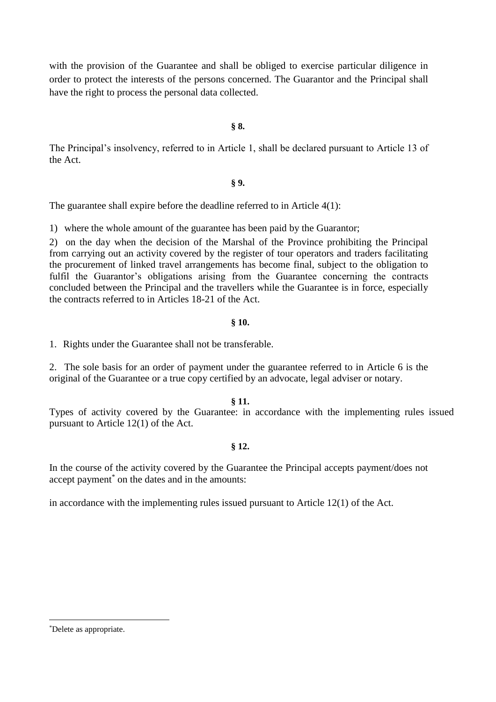with the provision of the Guarantee and shall be obliged to exercise particular diligence in order to protect the interests of the persons concerned. The Guarantor and the Principal shall have the right to process the personal data collected.

#### **§ 8.**

The Principal's insolvency, referred to in Article 1, shall be declared pursuant to Article 13 of the Act.

#### **§ 9.**

The guarantee shall expire before the deadline referred to in Article 4(1):

1) where the whole amount of the guarantee has been paid by the Guarantor;

2) on the day when the decision of the Marshal of the Province prohibiting the Principal from carrying out an activity covered by the register of tour operators and traders facilitating the procurement of linked travel arrangements has become final, subject to the obligation to fulfil the Guarantor's obligations arising from the Guarantee concerning the contracts concluded between the Principal and the travellers while the Guarantee is in force, especially the contracts referred to in Articles 18-21 of the Act.

#### **§ 10.**

1. Rights under the Guarantee shall not be transferable.

2. The sole basis for an order of payment under the guarantee referred to in Article 6 is the original of the Guarantee or a true copy certified by an advocate, legal adviser or notary.

#### **§ 11.**

Types of activity covered by the Guarantee: in accordance with the implementing rules issued pursuant to Article 12(1) of the Act.

#### **§ 12.**

In the course of the activity covered by the Guarantee the Principal accepts payment/does not accept payment\* on the dates and in the amounts:

in accordance with the implementing rules issued pursuant to Article 12(1) of the Act.

 $\overline{a}$ 

<sup>\*</sup>Delete as appropriate.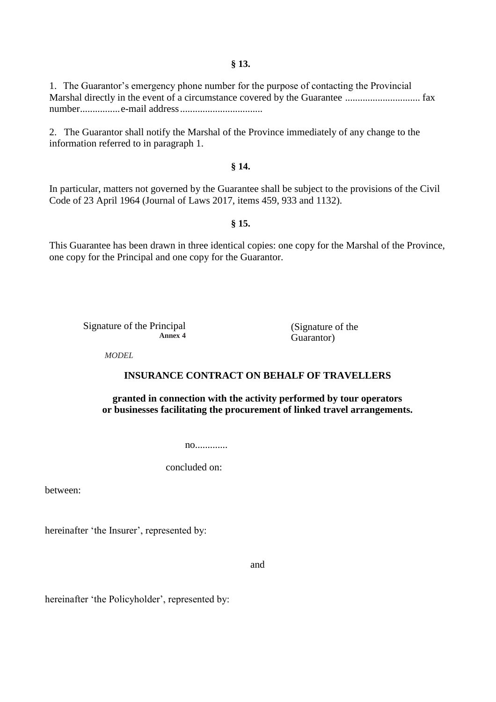1. The Guarantor's emergency phone number for the purpose of contacting the Provincial Marshal directly in the event of a circumstance covered by the Guarantee .............................. fax number................e-mail address.................................

2. The Guarantor shall notify the Marshal of the Province immediately of any change to the information referred to in paragraph 1.

#### **§ 14.**

In particular, matters not governed by the Guarantee shall be subject to the provisions of the Civil Code of 23 April 1964 (Journal of Laws 2017, items 459, 933 and 1132).

**§ 15.**

This Guarantee has been drawn in three identical copies: one copy for the Marshal of the Province, one copy for the Principal and one copy for the Guarantor.

Signature of the Principal **Annex 4** (Signature of the Guarantor)

*MODEL*

#### **INSURANCE CONTRACT ON BEHALF OF TRAVELLERS**

#### **granted in connection with the activity performed by tour operators or businesses facilitating the procurement of linked travel arrangements.**

no.............

concluded on:

between:

hereinafter 'the Insurer', represented by:

and

hereinafter 'the Policyholder', represented by: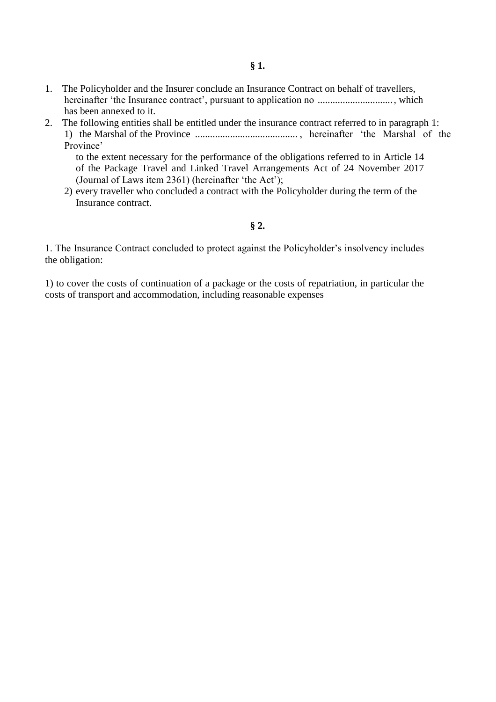- 1. The Policyholder and the Insurer conclude an Insurance Contract on behalf of travellers, hereinafter 'the Insurance contract', pursuant to application no ..............................., which has been annexed to it.
- 2. The following entities shall be entitled under the insurance contract referred to in paragraph 1: 1) the Marshal of the Province ......................................... , hereinafter 'the Marshal of the Province' to the extent necessary for the performance of the obligations referred to in Article 14 of the Package Travel and Linked Travel Arrangements Act of 24 November 2017
	- (Journal of Laws item 2361) (hereinafter 'the Act'); 2) every traveller who concluded a contract with the Policyholder during the term of the Insurance contract.

#### **§ 2.**

1. The Insurance Contract concluded to protect against the Policyholder's insolvency includes the obligation:

1) to cover the costs of continuation of a package or the costs of repatriation, in particular the costs of transport and accommodation, including reasonable expenses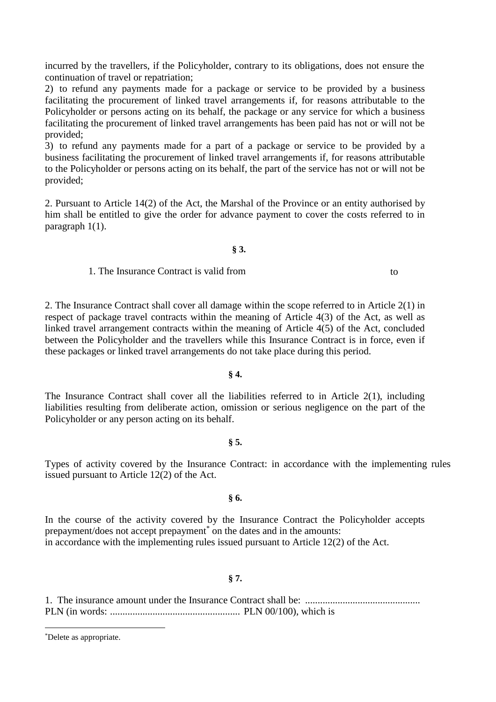incurred by the travellers, if the Policyholder, contrary to its obligations, does not ensure the continuation of travel or repatriation;

2) to refund any payments made for a package or service to be provided by a business facilitating the procurement of linked travel arrangements if, for reasons attributable to the Policyholder or persons acting on its behalf, the package or any service for which a business facilitating the procurement of linked travel arrangements has been paid has not or will not be provided;

3) to refund any payments made for a part of a package or service to be provided by a business facilitating the procurement of linked travel arrangements if, for reasons attributable to the Policyholder or persons acting on its behalf, the part of the service has not or will not be provided;

2. Pursuant to Article 14(2) of the Act, the Marshal of the Province or an entity authorised by him shall be entitled to give the order for advance payment to cover the costs referred to in paragraph 1(1).

#### **§ 3.**

1. The Insurance Contract is valid from

2. The Insurance Contract shall cover all damage within the scope referred to in Article 2(1) in respect of package travel contracts within the meaning of Article 4(3) of the Act, as well as linked travel arrangement contracts within the meaning of Article 4(5) of the Act, concluded between the Policyholder and the travellers while this Insurance Contract is in force, even if these packages or linked travel arrangements do not take place during this period.

The Insurance Contract shall cover all the liabilities referred to in Article 2(1), including liabilities resulting from deliberate action, omission or serious negligence on the part of the Policyholder or any person acting on its behalf.

#### **§ 5.**

Types of activity covered by the Insurance Contract: in accordance with the implementing rules issued pursuant to Article 12(2) of the Act.

#### **§ 6.**

In the course of the activity covered by the Insurance Contract the Policyholder accepts prepayment/does not accept prepayment<sup>\*</sup> on the dates and in the amounts: in accordance with the implementing rules issued pursuant to Article 12(2) of the Act.

#### **§ 7.**

1. The insurance amount under the Insurance Contract shall be: .............................................. PLN (in words: .................................................... PLN 00/100), which is

\*Delete as appropriate.

 $\overline{a}$ 

#### **§ 4.**

#### to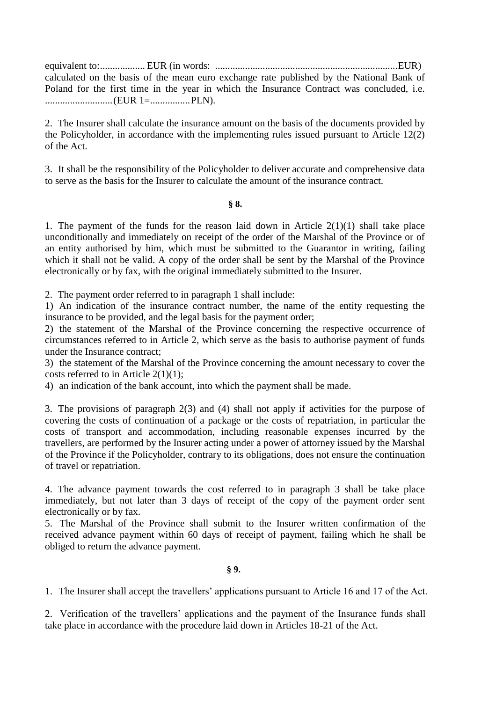equivalent to:.................. EUR (in words: .........................................................................EUR) calculated on the basis of the mean euro exchange rate published by the National Bank of Poland for the first time in the year in which the Insurance Contract was concluded, i.e. ...........................(EUR 1=................PLN).

2. The Insurer shall calculate the insurance amount on the basis of the documents provided by the Policyholder, in accordance with the implementing rules issued pursuant to Article 12(2) of the Act.

3. It shall be the responsibility of the Policyholder to deliver accurate and comprehensive data to serve as the basis for the Insurer to calculate the amount of the insurance contract.

#### **§ 8.**

1. The payment of the funds for the reason laid down in Article  $2(1)(1)$  shall take place unconditionally and immediately on receipt of the order of the Marshal of the Province or of an entity authorised by him, which must be submitted to the Guarantor in writing, failing which it shall not be valid. A copy of the order shall be sent by the Marshal of the Province electronically or by fax, with the original immediately submitted to the Insurer.

2. The payment order referred to in paragraph 1 shall include:

1) An indication of the insurance contract number, the name of the entity requesting the insurance to be provided, and the legal basis for the payment order;

2) the statement of the Marshal of the Province concerning the respective occurrence of circumstances referred to in Article 2, which serve as the basis to authorise payment of funds under the Insurance contract;

3) the statement of the Marshal of the Province concerning the amount necessary to cover the costs referred to in Article  $2(1)(1)$ ;

4) an indication of the bank account, into which the payment shall be made.

3. The provisions of paragraph 2(3) and (4) shall not apply if activities for the purpose of covering the costs of continuation of a package or the costs of repatriation, in particular the costs of transport and accommodation, including reasonable expenses incurred by the travellers, are performed by the Insurer acting under a power of attorney issued by the Marshal of the Province if the Policyholder, contrary to its obligations, does not ensure the continuation of travel or repatriation.

4. The advance payment towards the cost referred to in paragraph 3 shall be take place immediately, but not later than 3 days of receipt of the copy of the payment order sent electronically or by fax.

5. The Marshal of the Province shall submit to the Insurer written confirmation of the received advance payment within 60 days of receipt of payment, failing which he shall be obliged to return the advance payment.

#### **§ 9.**

1. The Insurer shall accept the travellers' applications pursuant to Article 16 and 17 of the Act.

2. Verification of the travellers' applications and the payment of the Insurance funds shall take place in accordance with the procedure laid down in Articles 18-21 of the Act.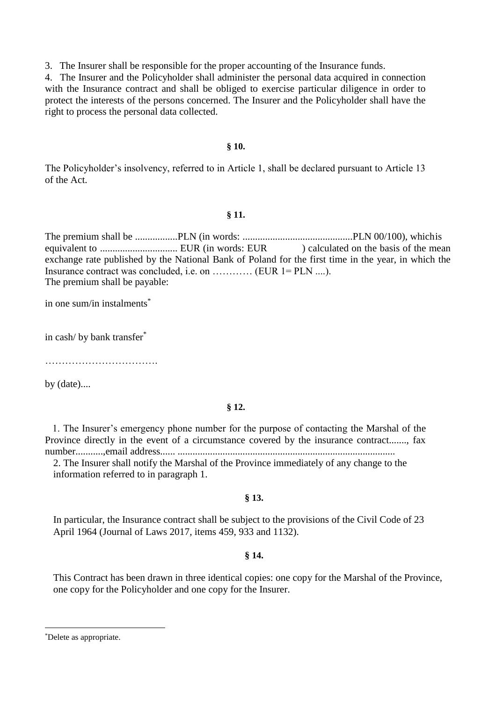3. The Insurer shall be responsible for the proper accounting of the Insurance funds.

4. The Insurer and the Policyholder shall administer the personal data acquired in connection with the Insurance contract and shall be obliged to exercise particular diligence in order to protect the interests of the persons concerned. The Insurer and the Policyholder shall have the right to process the personal data collected.

#### **§ 10.**

The Policyholder's insolvency, referred to in Article 1, shall be declared pursuant to Article 13 of the Act.

#### **§ 11.**

The premium shall be .................PLN (in words: ............................................PLN 00/100), whichis equivalent to ............................... EUR (in words: EUR ) calculated on the basis of the mean exchange rate published by the National Bank of Poland for the first time in the year, in which the Insurance contract was concluded, i.e. on ………… (EUR 1= PLN ....). The premium shall be payable:

in one sum/in instalments<sup>\*</sup>

in cash/ by bank transfer\*

…………………………………………

by (date)....

#### **§ 12.**

 1. The Insurer's emergency phone number for the purpose of contacting the Marshal of the Province directly in the event of a circumstance covered by the insurance contract......., fax number...........,email address...... .......................................................................................

2. The Insurer shall notify the Marshal of the Province immediately of any change to the information referred to in paragraph 1.

#### **§ 13.**

In particular, the Insurance contract shall be subject to the provisions of the Civil Code of 23 April 1964 (Journal of Laws 2017, items 459, 933 and 1132).

#### **§ 14.**

This Contract has been drawn in three identical copies: one copy for the Marshal of the Province, one copy for the Policyholder and one copy for the Insurer.

 $\overline{a}$ 

<sup>\*</sup>Delete as appropriate.